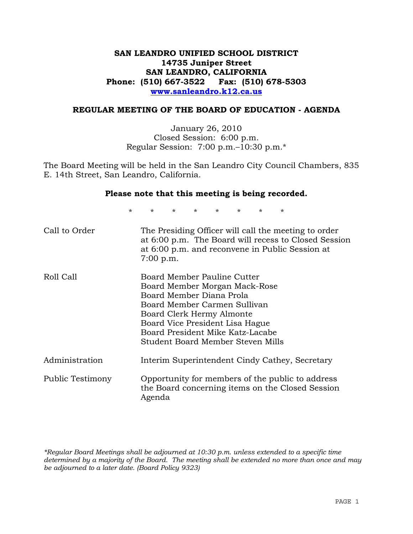## **SAN LEANDRO UNIFIED SCHOOL DISTRICT 14735 Juniper Street SAN LEANDRO, CALIFORNIA Phone: (510) 667-3522 Fax: (510) 678-5303 www.sanleandro.k12.ca.us**

### **REGULAR MEETING OF THE BOARD OF EDUCATION - AGENDA**

January 26, 2010 Closed Session: 6:00 p.m. Regular Session: 7:00 p.m.–10:30 p.m.\*

The Board Meeting will be held in the San Leandro City Council Chambers, 835 E. 14th Street, San Leandro, California.

#### **Please note that this meeting is being recorded.**

\* \* \* \* \* \* \* \*

| Call to Order    | The Presiding Officer will call the meeting to order<br>at 6:00 p.m. The Board will recess to Closed Session<br>at 6:00 p.m. and reconvene in Public Session at<br>$7:00$ p.m.                                                                                    |
|------------------|-------------------------------------------------------------------------------------------------------------------------------------------------------------------------------------------------------------------------------------------------------------------|
| Roll Call        | Board Member Pauline Cutter<br>Board Member Morgan Mack-Rose<br>Board Member Diana Prola<br>Board Member Carmen Sullivan<br>Board Clerk Hermy Almonte<br>Board Vice President Lisa Hague<br>Board President Mike Katz-Lacabe<br>Student Board Member Steven Mills |
| Administration   | Interim Superintendent Cindy Cathey, Secretary                                                                                                                                                                                                                    |
| Public Testimony | Opportunity for members of the public to address<br>the Board concerning items on the Closed Session<br>Agenda                                                                                                                                                    |

*\*Regular Board Meetings shall be adjourned at 10:30 p.m. unless extended to a specific time determined by a majority of the Board. The meeting shall be extended no more than once and may be adjourned to a later date. (Board Policy 9323)*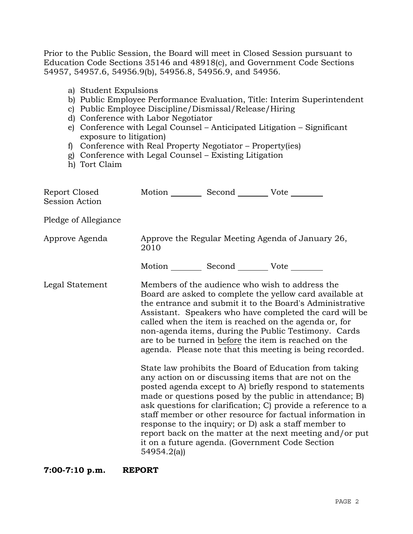Prior to the Public Session, the Board will meet in Closed Session pursuant to Education Code Sections 35146 and 48918(c), and Government Code Sections 54957, 54957.6, 54956.9(b), 54956.8, 54956.9, and 54956.

- a) Student Expulsions
- b) Public Employee Performance Evaluation, Title: Interim Superintendent
- c) Public Employee Discipline/Dismissal/Release/Hiring
- d) Conference with Labor Negotiator
- e) Conference with Legal Counsel Anticipated Litigation Significant exposure to litigation)
- f) Conference with Real Property Negotiator Property(ies)
- g) Conference with Legal Counsel Existing Litigation
- h) Tort Claim

| Report Closed<br>Session Action | Motion __________ Second __________ Vote ________ |                                                                                                                                                                                                                                                                                                                                                                                                                                                                                                                                                                                                                                                                                                                                                                                                                                                                                                                                                                                                                        |
|---------------------------------|---------------------------------------------------|------------------------------------------------------------------------------------------------------------------------------------------------------------------------------------------------------------------------------------------------------------------------------------------------------------------------------------------------------------------------------------------------------------------------------------------------------------------------------------------------------------------------------------------------------------------------------------------------------------------------------------------------------------------------------------------------------------------------------------------------------------------------------------------------------------------------------------------------------------------------------------------------------------------------------------------------------------------------------------------------------------------------|
| Pledge of Allegiance            |                                                   |                                                                                                                                                                                                                                                                                                                                                                                                                                                                                                                                                                                                                                                                                                                                                                                                                                                                                                                                                                                                                        |
| Approve Agenda                  | 2010                                              | Approve the Regular Meeting Agenda of January 26,                                                                                                                                                                                                                                                                                                                                                                                                                                                                                                                                                                                                                                                                                                                                                                                                                                                                                                                                                                      |
|                                 | Motion __________ Second __________ Vote ________ |                                                                                                                                                                                                                                                                                                                                                                                                                                                                                                                                                                                                                                                                                                                                                                                                                                                                                                                                                                                                                        |
| Legal Statement                 | 54954.2(a)                                        | Members of the audience who wish to address the<br>Board are asked to complete the yellow card available at<br>the entrance and submit it to the Board's Administrative<br>Assistant. Speakers who have completed the card will be<br>called when the item is reached on the agenda or, for<br>non-agenda items, during the Public Testimony. Cards<br>are to be turned in before the item is reached on the<br>agenda. Please note that this meeting is being recorded.<br>State law prohibits the Board of Education from taking<br>any action on or discussing items that are not on the<br>posted agenda except to A) briefly respond to statements<br>made or questions posed by the public in attendance; B)<br>ask questions for clarification; C) provide a reference to a<br>staff member or other resource for factual information in<br>response to the inquiry; or D) ask a staff member to<br>report back on the matter at the next meeting and/or put<br>it on a future agenda. (Government Code Section |

**7:00-7:10 p.m. REPORT**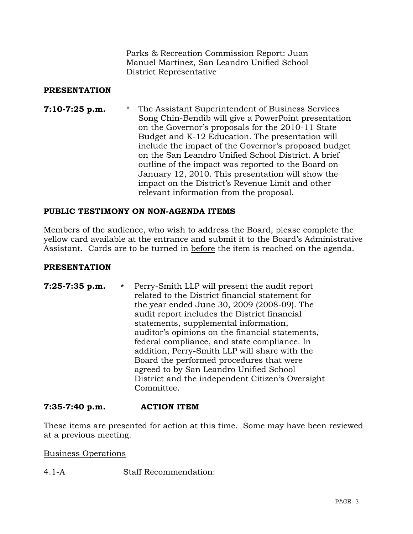Parks & Recreation Commission Report: Juan Manuel Martinez, San Leandro Unified School District Representative

## **PRESENTATION**

**7:10-7:25 p.m.** \* The Assistant Superintendent of Business Services Song Chin-Bendib will give a PowerPoint presentation on the Governor's proposals for the 2010-11 State Budget and K-12 Education. The presentation will include the impact of the Governor's proposed budget on the San Leandro Unified School District. A brief outline of the impact was reported to the Board on January 12, 2010. This presentation will show the impact on the District's Revenue Limit and other relevant information from the proposal.

## **PUBLIC TESTIMONY ON NON-AGENDA ITEMS**

Members of the audience, who wish to address the Board, please complete the yellow card available at the entrance and submit it to the Board's Administrative Assistant. Cards are to be turned in before the item is reached on the agenda.

### **PRESENTATION**

**7:25-7:35 p.m.** \* Perry-Smith LLP will present the audit report related to the District financial statement for the year ended June 30, 2009 (2008-09). The audit report includes the District financial statements, supplemental information, auditor's opinions on the financial statements, federal compliance, and state compliance. In addition, Perry-Smith LLP will share with the Board the performed procedures that were agreed to by San Leandro Unified School District and the independent Citizen's Oversight Committee.

### **7:35-7:40 p.m. ACTION ITEM**

These items are presented for action at this time. Some may have been reviewed at a previous meeting.

### Business Operations

4.1-A Staff Recommendation: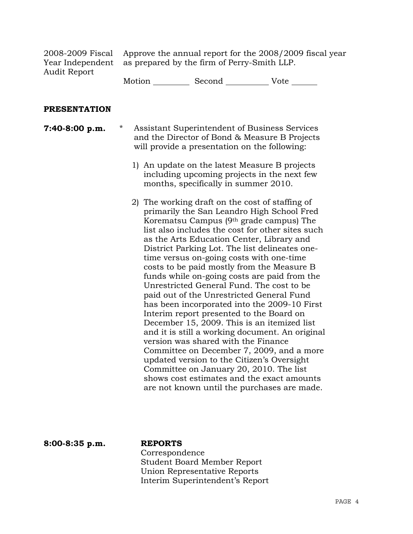2008-2009 Fiscal Year Independent Audit Report

Approve the annual report for the 2008/2009 fiscal year as prepared by the firm of Perry-Smith LLP.

Motion \_\_\_\_\_\_\_\_\_\_\_\_ Second \_\_\_\_\_\_\_\_\_\_\_\_\_\_\_ Vote \_

#### **PRESENTATION**

**7:40-8:00 p.m.** \* Assistant Superintendent of Business Services and the Director of Bond & Measure B Projects will provide a presentation on the following:

- 1) An update on the latest Measure B projects including upcoming projects in the next few months, specifically in summer 2010.
- 2) The working draft on the cost of staffing of primarily the San Leandro High School Fred Korematsu Campus (9th grade campus) The list also includes the cost for other sites such as the Arts Education Center, Library and District Parking Lot. The list delineates onetime versus on-going costs with one-time costs to be paid mostly from the Measure B funds while on-going costs are paid from the Unrestricted General Fund. The cost to be paid out of the Unrestricted General Fund has been incorporated into the 2009-10 First Interim report presented to the Board on December 15, 2009. This is an itemized list and it is still a working document. An original version was shared with the Finance Committee on December 7, 2009, and a more updated version to the Citizen's Oversight Committee on January 20, 2010. The list shows cost estimates and the exact amounts are not known until the purchases are made.

**8:00-8:35 p.m. REPORTS**

 Correspondence Student Board Member Report Union Representative Reports Interim Superintendent's Report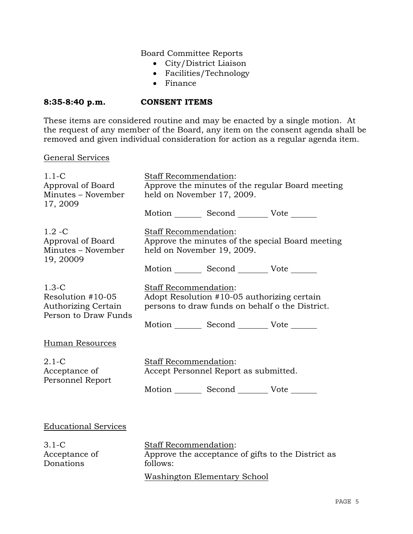## Board Committee Reports

- City/District Liaison
- Facilities/Technology
- Finance

## **8:35-8:40 p.m. CONSENT ITEMS**

These items are considered routine and may be enacted by a single motion. At the request of any member of the Board, any item on the consent agenda shall be removed and given individual consideration for action as a regular agenda item.

### General Services

| $1.1 - C$<br>Approval of Board<br>Minutes - November<br>17, 2009                   | Staff Recommendation:<br>Approve the minutes of the regular Board meeting<br>held on November 17, 2009.                 |  |  |
|------------------------------------------------------------------------------------|-------------------------------------------------------------------------------------------------------------------------|--|--|
|                                                                                    | Motion _________ Second _________ Vote _______                                                                          |  |  |
| $1.2 - C$<br>Approval of Board<br>Minutes - November<br>19, 20009                  | Staff Recommendation:<br>Approve the minutes of the special Board meeting<br>held on November 19, 2009.                 |  |  |
|                                                                                    | Motion _________ Second __________ Vote _______                                                                         |  |  |
| $1.3-C$<br>Resolution #10-05<br><b>Authorizing Certain</b><br>Person to Draw Funds | Staff Recommendation:<br>Adopt Resolution #10-05 authorizing certain<br>persons to draw funds on behalf o the District. |  |  |
|                                                                                    | Motion Second Vote                                                                                                      |  |  |
| Human Resources                                                                    |                                                                                                                         |  |  |
| $2.1-C$<br>Acceptance of<br>Personnel Report                                       | Staff Recommendation:<br>Accept Personnel Report as submitted.<br>Motion _________ Second __________ Vote _______       |  |  |
|                                                                                    |                                                                                                                         |  |  |
| <b>Educational Services</b>                                                        |                                                                                                                         |  |  |
| $3.1-C$<br>Acceptance of<br>Donations                                              | Staff Recommendation:<br>Approve the acceptance of gifts to the District as<br>follows:                                 |  |  |
|                                                                                    | <b>Washington Elementary School</b>                                                                                     |  |  |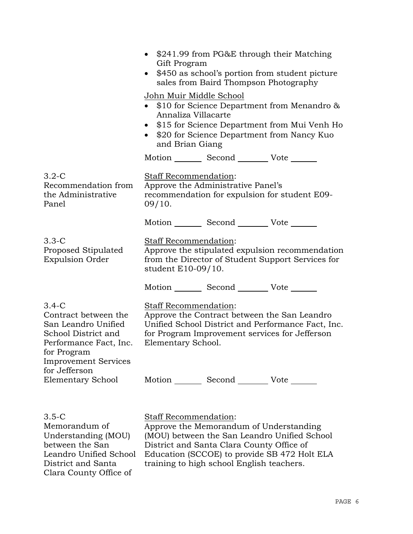|                                                                                                                                                       | \$241.99 from PG&E through their Matching<br>$\bullet$<br>Gift Program<br>\$450 as school's portion from student picture<br>$\bullet$<br>sales from Baird Thompson Photography |                                    |                                                                                                                                                      |  |
|-------------------------------------------------------------------------------------------------------------------------------------------------------|--------------------------------------------------------------------------------------------------------------------------------------------------------------------------------|------------------------------------|------------------------------------------------------------------------------------------------------------------------------------------------------|--|
|                                                                                                                                                       | John Muir Middle School<br>Annaliza Villacarte<br>and Brian Giang                                                                                                              |                                    | • $$10$ for Science Department from Menandro $\&$<br>\$15 for Science Department from Mui Venh Ho<br>\$20 for Science Department from Nancy Kuo      |  |
|                                                                                                                                                       |                                                                                                                                                                                |                                    | Motion _________ Second __________ Vote _______                                                                                                      |  |
| $3.2-C$<br>Recommendation from<br>the Administrative<br>Panel                                                                                         | Staff Recommendation:<br>09/10.                                                                                                                                                | Approve the Administrative Panel's | recommendation for expulsion for student E09-                                                                                                        |  |
|                                                                                                                                                       |                                                                                                                                                                                |                                    | Motion _________ Second _________ Vote _______                                                                                                       |  |
| $3.3-C$<br>Proposed Stipulated<br><b>Expulsion Order</b>                                                                                              | Staff Recommendation:<br>Approve the stipulated expulsion recommendation<br>from the Director of Student Support Services for<br>student E10-09/10.                            |                                    |                                                                                                                                                      |  |
|                                                                                                                                                       |                                                                                                                                                                                |                                    | Motion _________ Second __________ Vote _______                                                                                                      |  |
| $3.4-C$<br>Contract between the<br>San Leandro Unified<br>School District and<br>Performance Fact, Inc.<br>for Program<br><b>Improvement Services</b> | Staff Recommendation:<br>Elementary School.                                                                                                                                    |                                    | Approve the Contract between the San Leandro<br>Unified School District and Performance Fact, Inc.<br>for Program Improvement services for Jefferson |  |
| for Jefferson<br><b>Elementary School</b>                                                                                                             |                                                                                                                                                                                |                                    | Motion _________ Second __________ Vote _______                                                                                                      |  |
| $3.5-C$<br>Memorandum of<br>Understanding (MOU)                                                                                                       | Staff Recommendation:                                                                                                                                                          |                                    | Approve the Memorandum of Understanding<br>(MOU) between the San Leandro Unified School                                                              |  |

between the San

District and Santa Clara County Office of

Leandro Unified School

(MOU) between the San Leandro Unified School District and Santa Clara County Office of Education (SCCOE) to provide SB 472 Holt ELA training to high school English teachers.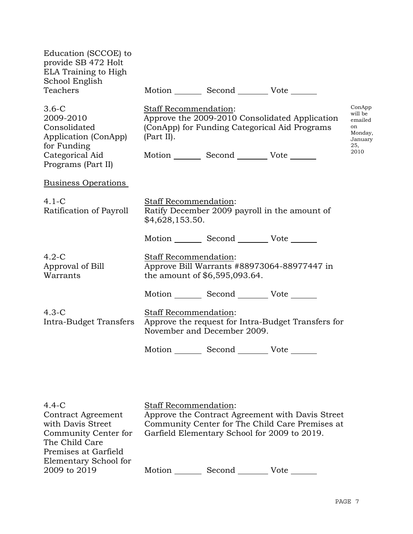| Education (SCCOE) to<br>provide SB 472 Holt<br>ELA Training to High<br>School English<br>Teachers                    |                                                 | Motion Second Vote                              |                                                                                                 |                                                                         |
|----------------------------------------------------------------------------------------------------------------------|-------------------------------------------------|-------------------------------------------------|-------------------------------------------------------------------------------------------------|-------------------------------------------------------------------------|
| $3.6-C$<br>2009-2010<br>Consolidated<br>Application (ConApp)<br>for Funding<br>Categorical Aid<br>Programs (Part II) | Staff Recommendation:<br>(Part II).             | Motion _________ Second __________ Vote _______ | Approve the 2009-2010 Consolidated Application<br>(ConApp) for Funding Categorical Aid Programs | ConApp<br>will be<br>emailed<br>on<br>Monday,<br>January<br>25,<br>2010 |
| <b>Business Operations</b>                                                                                           |                                                 |                                                 |                                                                                                 |                                                                         |
| $4.1-C$<br>Ratification of Payroll                                                                                   | <b>Staff Recommendation:</b><br>\$4,628,153.50. |                                                 | Ratify December 2009 payroll in the amount of                                                   |                                                                         |
|                                                                                                                      |                                                 | Motion Second Vote                              |                                                                                                 |                                                                         |
| $4.2-C$<br>Approval of Bill<br>Warrants                                                                              | Staff Recommendation:                           | the amount of \$6,595,093.64.                   | Approve Bill Warrants #88973064-88977447 in                                                     |                                                                         |
|                                                                                                                      |                                                 | Motion Second Vote                              |                                                                                                 |                                                                         |
| $4.3-C$<br>Intra-Budget Transfers                                                                                    | Staff Recommendation:                           | November and December 2009.                     | Approve the request for Intra-Budget Transfers for                                              |                                                                         |
|                                                                                                                      |                                                 | Motion Second Vote                              |                                                                                                 |                                                                         |
|                                                                                                                      |                                                 |                                                 |                                                                                                 |                                                                         |

| $4.4-C$                   | <b>Staff Recommendation:</b>                 |        |                                                  |
|---------------------------|----------------------------------------------|--------|--------------------------------------------------|
| <b>Contract Agreement</b> |                                              |        | Approve the Contract Agreement with Davis Street |
| with Davis Street         |                                              |        | Community Center for The Child Care Premises at  |
| Community Center for      | Garfield Elementary School for 2009 to 2019. |        |                                                  |
| The Child Care            |                                              |        |                                                  |
| Premises at Garfield      |                                              |        |                                                  |
| Elementary School for     |                                              |        |                                                  |
| 2009 to 2019              | Motion                                       | Second | Vote                                             |
|                           |                                              |        |                                                  |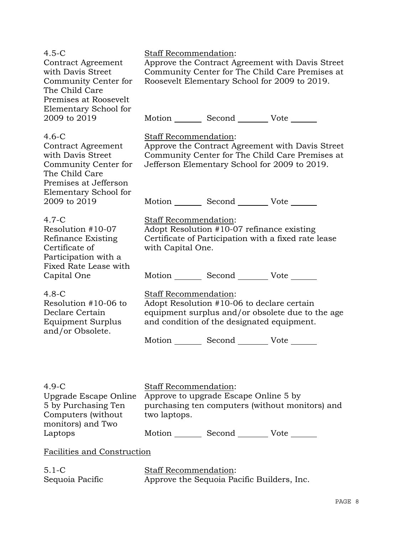| $4.5 - C$<br>Contract Agreement<br>with Davis Street<br>Community Center for<br>The Child Care<br>Premises at Roosevelt<br>Elementary School for | Staff Recommendation:<br>Approve the Contract Agreement with Davis Street<br>Community Center for The Child Care Premises at<br>Roosevelt Elementary School for 2009 to 2019. |  |  |
|--------------------------------------------------------------------------------------------------------------------------------------------------|-------------------------------------------------------------------------------------------------------------------------------------------------------------------------------|--|--|
| 2009 to 2019                                                                                                                                     | Motion _________ Second _________ Vote _______                                                                                                                                |  |  |
| $4.6-C$<br>Contract Agreement<br>with Davis Street<br>Community Center for<br>The Child Care<br>Premises at Jefferson<br>Elementary School for   | Staff Recommendation:<br>Approve the Contract Agreement with Davis Street<br>Community Center for The Child Care Premises at<br>Jefferson Elementary School for 2009 to 2019. |  |  |
| 2009 to 2019                                                                                                                                     | Motion _________ Second __________ Vote _______                                                                                                                               |  |  |
| $4.7 - C$<br>Resolution #10-07<br>Refinance Existing<br>Certificate of<br>Participation with a                                                   | <b>Staff Recommendation:</b><br>Adopt Resolution #10-07 refinance existing<br>Certificate of Participation with a fixed rate lease<br>with Capital One.                       |  |  |
| Fixed Rate Lease with<br>Capital One                                                                                                             | Motion Second Vote                                                                                                                                                            |  |  |
| $4.8-C$<br>Resolution #10-06 to<br>Declare Certain<br><b>Equipment Surplus</b><br>and/or Obsolete.                                               | Staff Recommendation:<br>Adopt Resolution #10-06 to declare certain<br>equipment surplus and/or obsolete due to the age<br>and condition of the designated equipment.         |  |  |
|                                                                                                                                                  | Motion _________ Second __________ Vote ______                                                                                                                                |  |  |
|                                                                                                                                                  |                                                                                                                                                                               |  |  |
| $4.9-C$<br>Upgrade Escape Online<br>5 by Purchasing Ten<br>Computers (without)<br>monitors) and Two                                              | Staff Recommendation:<br>Approve to upgrade Escape Online 5 by<br>purchasing ten computers (without monitors) and<br>two laptops.                                             |  |  |
| Laptops                                                                                                                                          | Motion Second Vote                                                                                                                                                            |  |  |
| Facilities and Construction                                                                                                                      |                                                                                                                                                                               |  |  |
| $5.1 - C$<br>Sequoia Pacific                                                                                                                     | Staff Recommendation:<br>Approve the Sequoia Pacific Builders, Inc.                                                                                                           |  |  |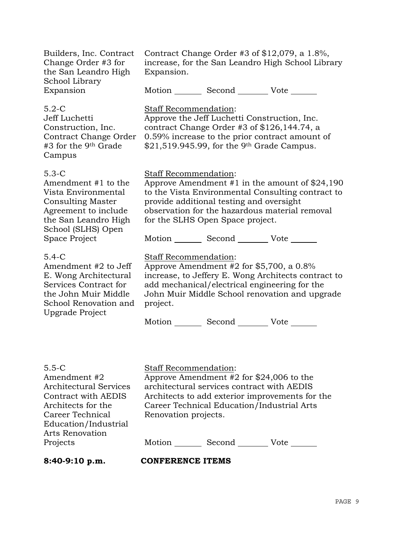| Builders, Inc. Contract<br>Change Order #3 for<br>the San Leandro High                                                                                                        | Contract Change Order #3 of $$12,079$ , a 1.8%,<br>increase, for the San Leandro High School Library<br>Expansion.                                                                                                                                                                                                  |                                                                                                                                                           |                                                                                                       |
|-------------------------------------------------------------------------------------------------------------------------------------------------------------------------------|---------------------------------------------------------------------------------------------------------------------------------------------------------------------------------------------------------------------------------------------------------------------------------------------------------------------|-----------------------------------------------------------------------------------------------------------------------------------------------------------|-------------------------------------------------------------------------------------------------------|
| School Library<br>Expansion                                                                                                                                                   |                                                                                                                                                                                                                                                                                                                     | Motion _________ Second __________ Vote _______                                                                                                           |                                                                                                       |
| $5.2-C$<br>Jeff Luchetti<br>Construction, Inc.<br>Contract Change Order<br>#3 for the 9 <sup>th</sup> Grade<br>Campus                                                         | Staff Recommendation:                                                                                                                                                                                                                                                                                               | Approve the Jeff Luchetti Construction, Inc.<br>contract Change Order #3 of $$126,144.74$ , a<br>$$21,519.945.99$ , for the 9 <sup>th</sup> Grade Campus. | 0.59% increase to the prior contract amount of                                                        |
| $5.3-C$<br>Amendment #1 to the<br>Vista Environmental<br><b>Consulting Master</b><br>Agreement to include<br>the San Leandro High<br>School (SLHS) Open                       | Staff Recommendation:<br>Approve Amendment $#1$ in the amount of \$24,190<br>to the Vista Environmental Consulting contract to<br>provide additional testing and oversight<br>observation for the hazardous material removal<br>for the SLHS Open Space project.<br>Motion _________ Second __________ Vote _______ |                                                                                                                                                           |                                                                                                       |
| Space Project<br>$5.4-C$<br>Amendment #2 to Jeff<br>E. Wong Architectural<br>Services Contract for<br>the John Muir Middle<br>School Renovation and<br><b>Upgrade Project</b> | Staff Recommendation:<br>project.                                                                                                                                                                                                                                                                                   | Approve Amendment #2 for \$5,700, a 0.8%<br>add mechanical/electrical engineering for the<br>Motion _________ Second __________ Vote _______              | increase, to Jeffery E. Wong Architects contract to<br>John Muir Middle School renovation and upgrade |
| $5.5-C$<br>Amendment #2                                                                                                                                                       | <b>Staff Recommendation:</b>                                                                                                                                                                                                                                                                                        | Approve Amendment #2 for \$24,006 to the                                                                                                                  |                                                                                                       |

Architectural Services Contract with AEDIS Architects for the Career Technical Education/Industrial Arts Renovation Projects

Approve Amendment #2 for \$24,006 to the architectural services contract with AEDIS Architects to add exterior improvements for the Career Technical Education/Industrial Arts Renovation projects.

Motion Second Vote

**8:40-9:10 p.m. CONFERENCE ITEMS**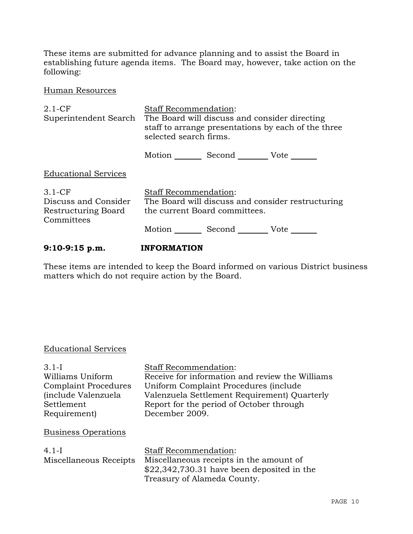These items are submitted for advance planning and to assist the Board in establishing future agenda items. The Board may, however, take action on the following:

Human Resources

| $2.1-CF$<br>Superintendent Search                                     | <b>Staff Recommendation:</b><br>The Board will discuss and consider directing<br>staff to arrange presentations by each of the three<br>selected search firms. |                                                 |                                                   |
|-----------------------------------------------------------------------|----------------------------------------------------------------------------------------------------------------------------------------------------------------|-------------------------------------------------|---------------------------------------------------|
|                                                                       |                                                                                                                                                                | Motion _________ Second __________ Vote _______ |                                                   |
| <b>Educational Services</b>                                           |                                                                                                                                                                |                                                 |                                                   |
| $3.1-CF$<br>Discuss and Consider<br>Restructuring Board<br>Committees | <b>Staff Recommendation:</b>                                                                                                                                   | the current Board committees.                   | The Board will discuss and consider restructuring |
|                                                                       |                                                                                                                                                                | Motion Second Vote                              |                                                   |

## **9:10-9:15 p.m. INFORMATION**

These items are intended to keep the Board informed on various District business matters which do not require action by the Board.

## Educational Services

| $3.1 - I$                    | <b>Staff Recommendation:</b>                    |
|------------------------------|-------------------------------------------------|
| Williams Uniform             | Receive for information and review the Williams |
| <b>Complaint Procedures</b>  | Uniform Complaint Procedures (include           |
| <i>(include Valenzuela</i> ) | Valenzuela Settlement Requirement) Quarterly    |
| Settlement                   | Report for the period of October through        |
| Requirement)                 | December 2009.                                  |
| <b>Business Operations</b>   |                                                 |
| $4.1-I$                      | <b>Staff Recommendation:</b>                    |
| Miscellaneous Receipts       | Miscellaneous receipts in the amount of         |
|                              | $$22,342,730.31$ have been deposited in the     |
|                              | Treasury of Alameda County.                     |
|                              |                                                 |